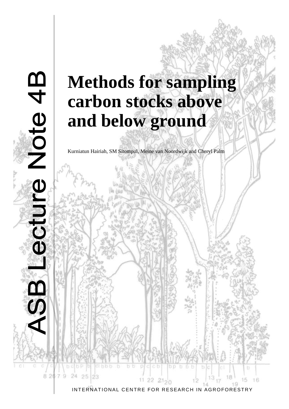# **Methods for sampling carbon stocks above and below ground**

<u>m</u>

Note 4

-ectu

82

25

Kurniatun Hairiah, SM Sitompul, Meine van Noordwijk and Cheryl Palm

INTERNATIONAL CENTRE FOR RESEARCH IN AGROFORESTRY

 $2120$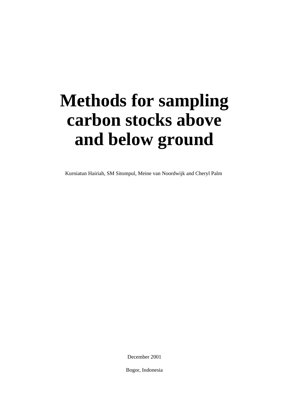# **Methods for sampling carbon stocks above and below ground**

Kurniatun Hairiah, SM Sitompul, Meine van Noordwijk and Cheryl Palm

December 2001

Bogor, Indonesia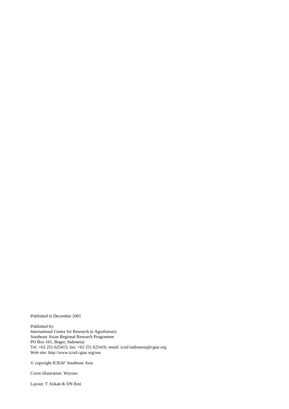Published in December 2001

Published by: International Centre for Research in Agroforestry Southeast Asian Regional Research Programme PO Box 161, Bogor, Indonesia Tel: +62 251 625415; fax: +62 251 625416; email: icraf-indonesia@cgiar.org Web site: http://www.icraf.cgiar.org/sea

© copyright ICRAF Southeast Asia

Cover illustration: Wiyono

Layout: T Atikah & DN Rini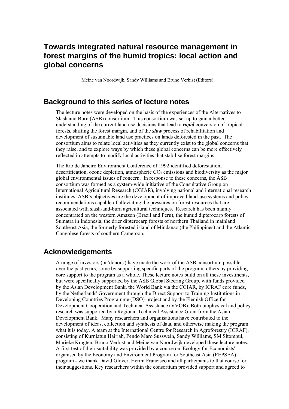## **Towards integrated natural resource management in forest margins of the humid tropics: local action and global concerns**

Meine van Noordwijk, Sandy Williams and Bruno Verbist (Editors)

## **Background to this series of lecture notes**

The lecture notes were developed on the basis of the experiences of the Alternatives to Slash and Burn (ASB) consortium. This consortium was set up to gain a better understanding of the current land use decisions that lead to *rapid* conversion of tropical forests, shifting the forest margin, and of the *slow* process of rehabilitation and development of sustainable land use practices on lands deforested in the past. The consortium aims to relate local activities as they currently exist to the global concerns that they raise, and to explore ways by which these global concerns can be more effectively reflected in attempts to modify local activities that stabilise forest margins.

The Rio de Janeiro Environment Conference of 1992 identified deforestation, desertification, ozone depletion, atmospheric  $CO<sub>2</sub>$  emissions and biodiversity as the major global environmental issues of concern. In response to these concerns, the ASB consortium was formed as a system-wide initiative of the Consultative Group on International Agricultural Research (CGIAR), involving national and international research institutes. ASB's objectives are the development of improved land-use systems and policy recommendations capable of alleviating the pressures on forest resources that are associated with slash-and-burn agricultural techniques. Research has been mainly concentrated on the western Amazon (Brazil and Peru), the humid dipterocarp forests of Sumatra in Indonesia, the drier dipterocarp forests of northern Thailand in mainland Southeast Asia, the formerly forested island of Mindanao (the Philippines) and the Atlantic Congolese forests of southern Cameroon.

## **Acknowledgements**

A range of investors (or 'donors') have made the work of the ASB consortium possible over the past years, some by supporting specific parts of the program, others by providing core support to the program as a whole. These lecture notes build on all these investments, but were specifically supported by the ASB Global Steering Group, with funds provided by the Asian Development Bank, the World Bank via the CGIAR, by ICRAF core funds, by the Netherlands' Government through the Direct Support to Training Institutions in Developing Countries Programme (DSO)-project and by the Flemish Office for Development Cooperation and Technical Assistance (VVOB). Both biophysical and policy research was supported by a Regional Technical Assistance Grant from the Asian Development Bank. Many researchers and organisations have contributed to the development of ideas, collection and synthesis of data, and otherwise making the program what it is today. A team at the International Centre for Research in Agroforestry (ICRAF), consisting of Kurniatun Hairiah, Pendo Maro Susswein, Sandy Williams, SM Sitompul, Marieke Kragten, Bruno Verbist and Meine van Noordwijk developed these lecture notes. A first test of their suitability was provided by a course on 'Ecology for Economists' organised by the Economy and Environment Program for Southeast Asia (EEPSEA) program - we thank David Glover, Hermi Francisco and all participants to that course for their suggestions. Key researchers within the consortium provided support and agreed to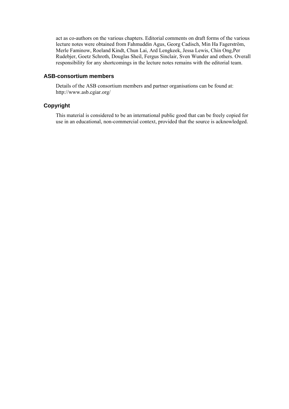act as co-authors on the various chapters. Editorial comments on draft forms of the various lecture notes were obtained from Fahmuddin Agus, Georg Cadisch, Min Ha Fagerström, Merle Faminow, Roeland Kindt, Chun Lai, Ard Lengkeek, Jessa Lewis, Chin Ong,Per Rudebjer, Goetz Schroth, Douglas Sheil, Fergus Sinclair, Sven Wunder and others. Overall responsibility for any shortcomings in the lecture notes remains with the editorial team.

#### **ASB-consortium members**

Details of the ASB consortium members and partner organisations can be found at: http://www.asb.cgiar.org/

## **Copyright**

This material is considered to be an international public good that can be freely copied for use in an educational, non-commercial context, provided that the source is acknowledged.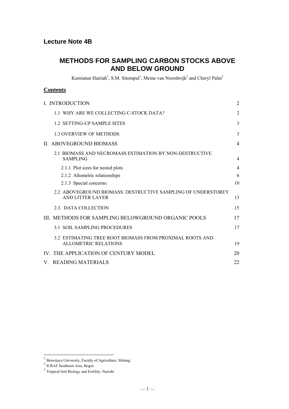## **METHODS FOR SAMPLING CARBON STOCKS ABOVE AND BELOW GROUND**

Kurniatun Hairiah<sup>1</sup>, S.M. Sitompul<sup>1</sup>, Meine van Noordwijk<sup>2</sup> and Cheryl Palm<sup>3</sup>

### **Contents**

| <b>I. INTRODUCTION</b>                                                                  | $\overline{2}$ |
|-----------------------------------------------------------------------------------------|----------------|
| 1.1 WHY ARE WE COLLECTING C-STOCK DATA?                                                 | $\overline{2}$ |
| 1.2 SETTING-UP SAMPLE SITES                                                             | 3              |
| <b>1.3 OVERVIEW OF METHODS</b>                                                          | 3              |
| II. ABOVEGROUND BIOMASS                                                                 | $\overline{4}$ |
| 2.1 BIOMASS AND NECROMASS ESTIMATION BY NON-DESTRUCTIVE<br><b>SAMPLING</b>              | $\overline{4}$ |
| 2.1.1 Plot sizes for nested plots                                                       | $\overline{4}$ |
| 2.1.2 Allometric relationships                                                          | 6              |
| 2.1.3 Special concerns:                                                                 | 10             |
| 2.2 ABOVEGROUND BIOMASS: DESTRUCTIVE SAMPLING OF UNDERSTOREY<br>AND LITTER LAYER        | 13             |
| 2.3. DATA COLLECTION                                                                    | 15             |
| III. METHODS FOR SAMPLING BELOWGROUND ORGANIC POOLS                                     | 17             |
| <b>3.1 SOIL SAMPLING PROCEDURES</b>                                                     | 17             |
| 3.2 ESTIMATING TREE ROOT BIOMASS FROM PROXIMAL ROOTS AND<br><b>ALLOMETRIC RELATIONS</b> | 19             |
| IV. THE APPLICATION OF CENTURY MODEL                                                    | 20             |
| V. READING MATERIALS                                                                    | 22             |

-

<sup>&</sup>lt;sup>1</sup> Brawijaya University, Faculty of Agriculture, Malang

<sup>2</sup> ICRAF Southeast Asia, Bogor

<sup>&</sup>lt;sup>3</sup> Tropical Soil Biology and Fertility, Nairobi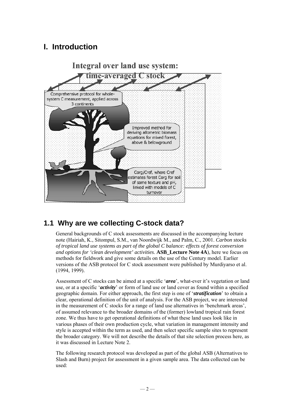# **I. Introduction**



# **1.1 Why are we collecting C-stock data?**

General backgrounds of C stock assessments are discussed in the accompanying lecture note (Hairiah, K., Sitompul, S.M., van Noordwijk M., and Palm, C., 2001. *Carbon stocks of tropical land use systems as part of the global C balance: effects of forest conversion and options for 'clean development' activities*. **ASB\_Lecture Note 4A**), here we focus on methods for fieldwork and give some details on the use of the Century model. Earlier versions of the ASB protocol for C stock assessment were published by Murdiyarso et al. (1994, 1999).

Assessment of C stocks can be aimed at a specific '*area*', what-ever it's vegetation or land use, or at a specific '*activity*' or form of land use or land cover as found within a specified geographic domain. For either approach, the first step is one of '*stratification*' to obtain a clear, operational definition of the unit of analysis. For the ASB project, we are interested in the measurement of C stocks for a range of land use alternatives in 'benchmark areas', of assumed relevance to the broader domains of the (former) lowland tropical rain forest zone. We thus have to get operational definitions of what these land uses look like in various phases of their own production cycle, what variation in management intensity and style is accepted within the term as used, and then select specific sample sites to represent the broader category. We will not describe the details of that site selection process here, as it was discussed in Lecture Note 2.

The following research protocol was developed as part of the global ASB (Alternatives to Slash and Burn) project for assessment in a given sample area. The data collected can be used: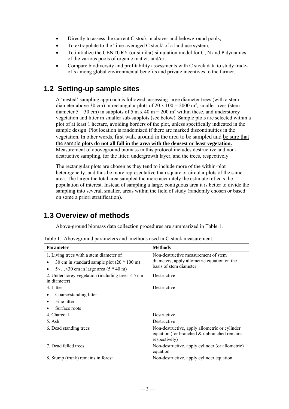- Directly to assess the current C stock in above- and belowground pools,
- To extrapolate to the 'time-averaged C stock' of a land use system,
- To initialize the CENTURY (or similar) simulation model for C, N and P dynamics of the various pools of organic matter, and/or,
- Compare biodiversity and profitability assessments with C stock data to study tradeoffs among global environmental benefits and private incentives to the farmer.

## **1.2 Setting-up sample sites**

A 'nested' sampling approach is followed, assessing large diameter trees (with a stem diameter above 30 cm) in rectangular plots of 20 x  $100 = 2000$  m<sup>2</sup>, smaller trees (stem diameter 5 – 30 cm) in subplots of 5 m x 40 m = 200 m<sup>2</sup> within these, and understorey vegetation and litter in smaller sub-subplots (see below). Sample plots are selected within a plot of at least 1 hectare, avoiding borders of the plot, unless specifically indicated in the sample design. Plot location is randomized if there are marked discontinuities in the vegetation. In other words, first walk around in the area to be sampled and be sure that the sample **plots do not all fall in the area with the densest or least vegetation.** Measurement of aboveground biomass in this protocol includes destructive and nondestructive sampling, for the litter, undergrowth layer, and the trees, respectively.

The rectangular plots are chosen as they tend to include more of the within-plot heterogeneity, and thus be more representative than square or circular plots of the same area. The larger the total area sampled the more accurately the estimate reflects the population of interest. Instead of sampling a large, contiguous area it is better to divide the sampling into several, smaller, areas within the field of study (randomly chosen or based on some a priori stratification).

# **1.3 Overview of methods**

Above-ground biomass data collection procedures are summarized in Table 1.

|  |  | Table 1. Aboveground parameters and methods used in C-stock measurement. |  |  |  |  |
|--|--|--------------------------------------------------------------------------|--|--|--|--|
|--|--|--------------------------------------------------------------------------|--|--|--|--|

| <b>Parameter</b>                                                                                                                          | <b>Methods</b>                                                                                                    |
|-------------------------------------------------------------------------------------------------------------------------------------------|-------------------------------------------------------------------------------------------------------------------|
| 1. Living trees with a stem diameter of<br>30 cm in standard sample plot $(20 * 100 \text{ m})$<br>5< < 30 cm in large area $(5 * 40)$ m) | Non-destructive measurement of stem<br>diameters, apply allometric equation on the<br>basis of stem diameter      |
| 2. Understorey vegetation (including trees $\leq$ 5 cm<br>in diameter)                                                                    | Destructive                                                                                                       |
| 3. Litter:                                                                                                                                | Destructive                                                                                                       |
| Coarse/standing litter                                                                                                                    |                                                                                                                   |
| Fine litter<br>٠                                                                                                                          |                                                                                                                   |
| Surface roots                                                                                                                             |                                                                                                                   |
| 4. Charcoal                                                                                                                               | Destructive                                                                                                       |
| 5. Ash                                                                                                                                    | Destructive                                                                                                       |
| 6. Dead standing trees                                                                                                                    | Non-destructive, apply allometric or cylinder<br>equation (for branched $\&$ unbranched remains,<br>respectively) |
| 7. Dead felled trees                                                                                                                      | Non-destructive, apply cylinder (or allometric)<br>equation                                                       |
| 8. Stump (trunk) remains in forest                                                                                                        | Non-destructive, apply cylinder equation                                                                          |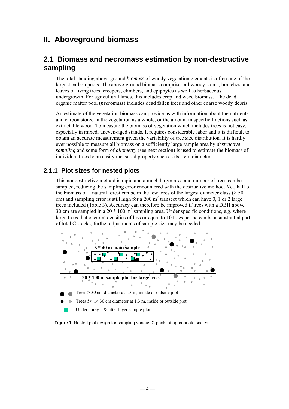# **II. Aboveground biomass**

## **2.1 Biomass and necromass estimation by non-destructive sampling**

The total standing above-ground *biomass* of woody vegetation elements is often one of the largest carbon pools. The above-ground biomass comprises all woody stems, branches, and leaves of living trees, creepers, climbers, and epiphytes as well as herbaceous undergrowth. For agricultural lands, this includes crop and weed biomass. The dead organic matter pool (*necromass*) includes dead fallen trees and other coarse woody debris.

An estimate of the vegetation biomass can provide us with information about the nutrients and carbon stored in the vegetation as a whole, or the amount in specific fractions such as extractable wood. To measure the biomass of vegetation which includes trees is not easy, especially in mixed, uneven-aged stands. It requires considerable labor and it is difficult to obtain an accurate measurement given the variability of tree size distribution. It is hardly ever possible to measure all biomass on a sufficiently large sample area by *destructive sampling* and some form of *allometry* (see next section) is used to estimate the biomass of individual trees to an easily measured property such as its stem diameter.

## **2.1.1 Plot sizes for nested plots**

This nondestructive method is rapid and a much larger area and number of trees can be sampled, reducing the sampling error encountered with the destructive method. Yet, half of the biomass of a natural forest can be in the few trees of the largest diameter class ( $>$  50 cm) and sampling error is still high for a 200  $m<sup>2</sup>$  transect which can have 0, 1 or 2 large trees included (Table 3). Accuracy can therefore be improved if trees with a DBH above 30 cm are sampled in a 20  $*$  100 m<sup>2</sup> sampling area. Under specific conditions, e.g. where large trees that occur at densities of less or equal to 10 trees per ha can be a substantial part of total C stocks, further adjustments of sample size may be needed.



**Figure 1.** Nested plot design for sampling various C pools at appropriate scales.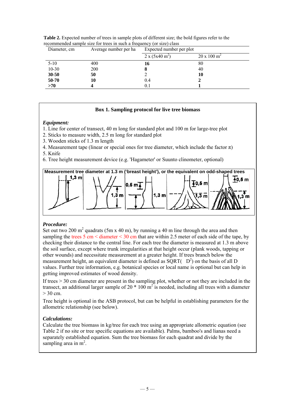| Diameter, cm<br>Average number per ha |     | Expected number per plot      |                             |  |  |
|---------------------------------------|-----|-------------------------------|-----------------------------|--|--|
|                                       |     | $2 \times (5x40 \text{ m}^2)$ | $20 \times 100 \text{ m}^2$ |  |  |
| $5-10$                                | 400 | 16                            | 80                          |  |  |
| $10 - 30$                             | 200 |                               | 40                          |  |  |
| $30 - 50$                             | 50  |                               | 10                          |  |  |
| 50-70                                 | 10  | 0.4                           |                             |  |  |
| >70                                   |     | 0.1                           |                             |  |  |

**Table 2.** Expected number of trees in sample plots of different size; the bold figures refer to the recommended sample size for trees in such a frequency (or size) class

#### **Box 1. Sampling protocol for live tree biomass**

#### *Equipment:*

- 1. Line for center of transect, 40 m long for standard plot and 100 m for large-tree plot
- 2. Sticks to measure width, 2.5 m long for standard plot
- 3. Wooden sticks of 1.3 m length
- 4. Measurement tape (linear or special ones for tree diameter, which include the factor  $\pi$ )
- 5. Knife
- 6. Tree height measurement device (e.g. 'Hagameter' or Suunto clinometer, optional)



### *Procedure:*

Set out two 200 m<sup>2</sup> quadrats (5m x 40 m), by running a 40 m line through the area and then sampling the trees  $5 \text{ cm} <$  diameter  $\leq 30 \text{ cm}$  that are within 2.5 meter of each side of the tape, by checking their distance to the central line. For each tree the diameter is measured at 1.3 m above the soil surface, except where trunk irregularities at that height occur (plank woods, tapping or other wounds) and necessitate measurement at a greater height. If trees branch below the measurement height, an equivalent diameter is defined as  $\overline{SQRT}$  ( $D^2$ ) on the basis of all D values. Further tree information, e.g. botanical species or local name is optional but can help in getting improved estimates of wood density.

If trees > 30 cm diameter are present in the sampling plot, whether or not they are included in the transect, an additional larger sample of 20  $*$  100 m<sup>2</sup> is needed, including all trees with a diameter  $> 30$  cm.

Tree height is optional in the ASB protocol, but can be helpful in establishing parameters for the allometric relationship (see below).

### *Calculations:*

Calculate the tree biomass in kg/tree for each tree using an appropriate allometric equation (see Table 2 if no site or tree specific equations are available). Palms, bamboo's and lianas need a separately established equation. Sum the tree biomass for each quadrat and divide by the sampling area in  $m^2$ .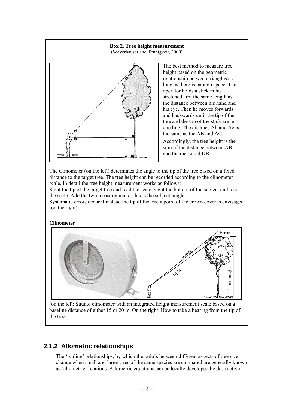

The best method to measure tree height based on the geometric relationship between triangles as long as there is enough space. The operator holds a stick in his stretched arm the same length as the distance between his hand and his eye. Then he moves forwards and backwards until the tip of the tree and the top of the stick are in one line. The distance Ab and Ac is the same as the AB and AC.

Accordingly, the tree height is the sum of the distance between AB and the measured DB.

The Clinometer (on the left) determines the angle to the tip of the tree based on a fixed distance to the target tree. The tree height can be recorded according to the clinometer scale. In detail the tree height measurement works as follows:

Sight the tip of the target tree and read the scale; sight the bottom of the subject and read the scale. Add the two measurements. This is the subject height.

Systematic errors occur if instead the tip of the tree a point of the crown cover is envisaged (on the right).

**Clinometer** 



(on the left: Suunto clinometer with an integrated height measurement scale based on a baseline distance of either 15 or 20 m. On the right: How to take a bearing from the tip of the tree.

## **2.1.2 Allometric relationships**

The 'scaling' relationships, by which the ratio's between different aspects of tree size change when small and large trees of the same species are compared are generally known as 'allometric' relations. Allometric equations can be locally developed by destructive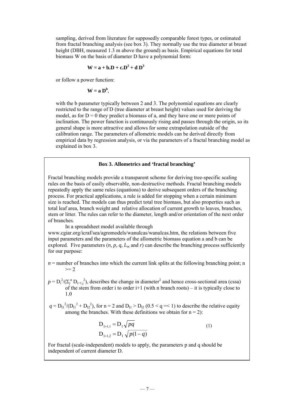sampling, derived from literature for supposedly comparable forest types, or estimated from fractal branching analysis (see box 3). They normally use the tree diameter at breast height (DBH, measured 1.3 m above the ground) as basis. Empirical equations for total biomass W on the basis of diameter D have a polynomial form:

$$
\mathbf{W} = \mathbf{a} + \mathbf{b} \cdot \mathbf{D} + \mathbf{c} \cdot \mathbf{D}^2 + \mathbf{d} \mathbf{D}^3
$$

or follow a power function:

$$
W = a D^{b},
$$

with the b parameter typically between 2 and 3. The polynomial equations are clearly restricted to the range of D (tree diameter at breast height) values used for deriving the model, as for  $D = 0$  they predict a biomass of a, and they have one or more points of inclination. The power function is continuously rising and passes through the origin, so its general shape is more attractive and allows for some extrapolation outside of the calibration range. The parameters of allometric models can be derived directly from empirical data by regression analysis, or via the parameters of a fractal branching model as explained in box 3.

#### **Box 3. Allometrics and 'fractal branching'**

Fractal branching models provide a transparent scheme for deriving tree-specific scaling rules on the basis of easily observable, non-destructive methods. Fractal branching models repeatedly apply the same rules (equations) to derive subsequent orders of the branching process. For practical applications, a rule is added for stopping when a certain minimum size is reached. The models can thus predict total tree biomass, but also properties such as total leaf area, branch weight and relative allocation of current growth to leaves, branches, stem or litter. The rules can refer to the diameter, length and/or orientation of the next order of branches.

In a spreadsheet model available through

www.cgiar.org/icraf/sea/agromodels/wanulcas/wanulcas.htm, the relations between five input parameters and the parameters of the allometric biomass equation a and b can be explored. Five parameters  $(n, p, q, L_m$  and  $r)$  can describe the branching process sufficiently for our purpose:

 $n =$  number of branches into which the current link splits at the following branching point; n  $>= 2$ 

 $p = D_i^2/(\Sigma_i^n D_{i+1,i}^2)$ , describes the change in diameter<sup>2</sup> and hence cross-sectional area (cssa) of the stem from order i to order  $i+1$  (with n branch roots) – it is typically close to 1.0

 $q = D_{11}^{2}/(D_{11}^{2} + D_{12}^{2})$ , for n = 2 and  $D_{11} > D_{12}$  (0.5 < q = < 1) to describe the relative equity among the branches. With these definitions we obtain for  $n = 2$ ):

$$
D_{I+1,1} = D_1 \sqrt{pq}
$$
  
\n
$$
D_{I+1,2} = D_1 \sqrt{p(1-q)}
$$
\n(1)

For fractal (scale-independent) models to apply, the parameters p and q should be independent of current diameter D.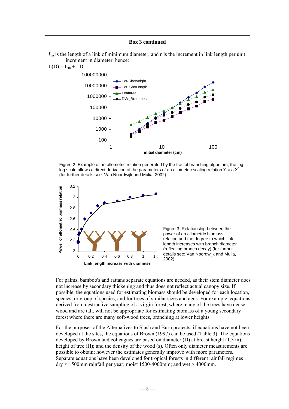#### **Box 3 continued**  *Lm* is the length of a link of minimum diameter, and *r* is the increment in link length per unit increment in diameter, hence:  $L(D) = L_m + r D$ 100000000 Tot-Showeight 10000000 - Tot\_ShoLength Leafarea 1000000 DW\_Branches 100000 10000 1000 100 1 10 10 100 **initial diameter (cm)** Figure 2. Example of an allometric relation generated by the fractal branching algorithm; the loglog scale allows a direct derivation of the parameters of an allometric scaling relation Y =  $a X<sup>k</sup>$ (for further details see: Van Noordwijk and Mulia, 2002) 3.2 Power of allometric biomass relation **Power of allometric biomass relation** 3 2.8 2.6 2.4 Figure 3. Relationship between the power of an allometric biomass relation and the degree to which link 2.2 length increases with branch diameter (reflecting branch decay) (for further 2 details see: Van Noordwijk and Mulia, 0 0.2 0.4 0.6 0.8 1 1.2 2002) **Link length increase with diameter**

 $\overline{\phantom{a}}$ 

For palms, bamboo's and rattans separate equations are needed, as their stem diameter does not increase by secondary thickening and thus does not reflect actual canopy size. If possible, the equations used for estimating biomass should be developed for each location, species, or group of species, and for trees of similar sizes and ages. For example, equations derived from destructive sampling of a virgin forest, where many of the trees have dense wood and are tall, will not be appropriate for estimating biomass of a young secondary forest where there are many soft-wood trees, branching at lower heights.

For the purposes of the Alternatives to Slash and Burn projects, if equations have not been developed at the sites, the equations of Brown (1997) can be used (Table 3). The equations developed by Brown and colleagues are based on diameter (D) at breast height (1.3 m); height of tree (H); and the density of the wood (s). Often only diameter measurements are possible to obtain; however the estimates generally improve with more parameters. Separate equations have been developed for tropical forests in different rainfall regimes :  $\text{div}$  < 1500mm rainfall per year; moist 1500-4000mm; and wet > 4000mm.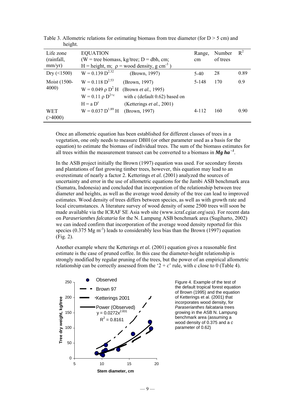| Life zone<br>(rainfall,<br>mm/yr) | <b>EQUATION</b><br>$(W = tree \text{ biomass}, \text{kg/tree}; D = dbh, \text{cm};$<br>H = height, m; $\rho$ = wood density, g cm <sup>-3</sup> | Range,<br>cm                                                                                                 | Number<br>of trees | $R^2$ |      |
|-----------------------------------|-------------------------------------------------------------------------------------------------------------------------------------------------|--------------------------------------------------------------------------------------------------------------|--------------------|-------|------|
| Dry $($ < 1500)                   | $W = 0.139 D^{2.32}$                                                                                                                            | (Brown, 1997)                                                                                                | $5-40$             | 28    | 0.89 |
| Moist (1500-<br>4000)             | $W = 0.118 D^{2.53}$<br>$W = 0.049 \rho D^2 H$<br>$W = 0.11 \rho D^{2+c}$<br>$H = a Dc$                                                         | (Brown, 1997)<br>(Brown <i>et al.</i> , 1995)<br>with c (default 0.62) based on<br>(Ketterings et al., 2001) | 5-148              | 170   | 0.9  |
| <b>WET</b><br>( > 4000)           | $W = 0.037 D^{1.89} H$                                                                                                                          | (Brown, 1997)                                                                                                | $4 - 112$          | 160   | 0.90 |

Table 3. Allometric relations for estimating biomass from tree diameter (for  $D > 5$  cm) and height.

Once an allometric equation has been established for different classes of trees in a vegetation, one only needs to measure DBH (or other parameter used as a basis for the equation) to estimate the biomass of individual trees. The sum of the biomass estimates for all trees within the measurement transect can be converted to a biomass in  $\mathbf{Mg}$  ha<sup>-1</sup>.

In the ASB project initially the Brown (1997) equation was used. For secondary forests and plantations of fast growing timber trees, however, this equation may lead to an overestimate of nearly a factor 2. Ketterings *et al.* (2001) analyzed the sources of uncertainty and error in the use of allometric equations for the Jambi ASB benchmark area (Sumatra, Indonesia) and concluded that incorporation of the relationship between tree diameter and heights, as well as the average wood density of the tree can lead to improved estimates. Wood density of trees differs between species, as well as with growth rate and local circumstances. A literature survey of wood density of some 2500 trees will soon be made available via the ICRAF SE Asia web site (www.icraf.cgiar.org\sea). For recent data on *Paraserianthes falcataria* for the N. Lampung ASB benchmark area (Sugiharto, 2002) we can indeed confirm that incorporation of the average wood density reported for this species (0.375 Mg  $\text{m}^3$ ) leads to considerably less bias than the Brown (1997) equation (Fig. 2).

Another example where the Ketterings *et al.* (2001) equation gives a reasonable first estimate is the case of pruned coffee. In this case the diameter-height relationship is strongly modified by regular pruning of the trees, but the power of an empirical allometric relationship can be correctly assessed from the ' $2 + c$ ' rule, with c close to 0 (Table 4).



Figure 4. Example of the test of the default tropical forest equation of Brown (1995) and the equation of Ketterings et al. (2001) that incorporates wood density, for *Paraserianthes falcataria* trees growing in the ASB N. Lampung benchmark area (assuming a wood density of 0.375 and a *c* parameter of 0.62)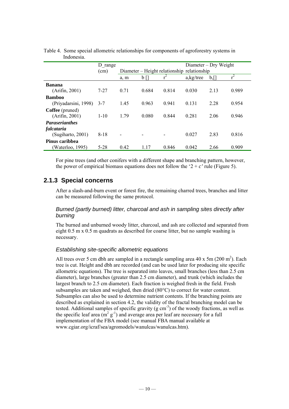|                        | D range  |      |       |       | Diameter – Dry Weight                       |            |       |
|------------------------|----------|------|-------|-------|---------------------------------------------|------------|-------|
|                        | (cm)     |      |       |       | Diameter – Height relationship relationship |            |       |
|                        |          | a, m | b     | $r^2$ | $a$ , kg/tree                               | $b,\lceil$ | $r^2$ |
| <b>Banana</b>          |          |      |       |       |                                             |            |       |
| (Arifin, 2001)         | $7 - 27$ | 0.71 | 0.684 | 0.814 | 0.030                                       | 2.13       | 0.989 |
| <b>Bamboo</b>          |          |      |       |       |                                             |            |       |
| (Priyadarsini, 1998)   | $3 - 7$  | 1.45 | 0.963 | 0.941 | 0.131                                       | 2.28       | 0.954 |
| <b>Coffee</b> (pruned) |          |      |       |       |                                             |            |       |
| (Arifin, 2001)         | $1 - 10$ | 1.79 | 0.080 | 0.844 | 0.281                                       | 2.06       | 0.946 |
| <b>Paraserianthes</b>  |          |      |       |       |                                             |            |       |
| falcataria             |          |      |       |       |                                             |            |       |
| (Sugiharto, 2001)      | $8 - 18$ |      |       |       | 0.027                                       | 2.83       | 0.816 |
| Pinus caribbea         |          |      |       |       |                                             |            |       |
| Waterloo, 1995)        | $5 - 28$ | 0.42 | 1.17  | 0.846 | 0.042                                       | 2.66       | 0.909 |

Table 4. Some special allometric relationships for components of agroforestry systems in Indonesia.

For pine trees (and other conifers with a different shape and branching pattern, however, the power of empirical biomass equations does not follow the  $2 + c'$  rule (Figure 5).

## **2.1.3 Special concerns**

After a slash-and-burn event or forest fire, the remaining charred trees, branches and litter can be measured following the same protocol.

### *Burned (partly burned) litter, charcoal and ash in sampling sites directly after burning*

The burned and unburned woody litter, charcoal, and ash are collected and separated from eight 0.5 m x 0.5 m quadrats as described for coarse litter, but no sample washing is necessary.

### *Establishing site-specific allometric equations*

All trees over 5 cm dbh are sampled in a rectangle sampling area  $40 \times 5$ m (200 m<sup>2</sup>). Each tree is cut. Height and dbh are recorded (and can be used later for producing site specific allometric equations). The tree is separated into leaves, small branches (less than 2.5 cm diameter), large branches (greater than 2.5 cm diameter), and trunk (which includes the largest branch to 2.5 cm diameter). Each fraction is weighed fresh in the field. Fresh subsamples are taken and weighed, then dried (80°C) to correct for water content. Subsamples can also be used to determine nutrient contents. If the branching points are described as explained in section 4.2, the validity of the fractal branching model can be tested. Additional samples of specific gravity  $(g \text{ cm}^{-3})$  of the woody fractions, as well as the specific leaf area  $(m^2 g^{-1})$  and average area per leaf are necessary for a full implementation of the FBA model (see manual FBA manual available at www.cgiar.org/icraf/sea/agromodels/wanulcas/wanulcas.htm).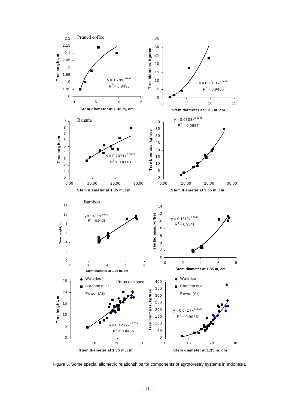

Figure 5. Some special allometric relationships for components of agroforestry systems in Indonesia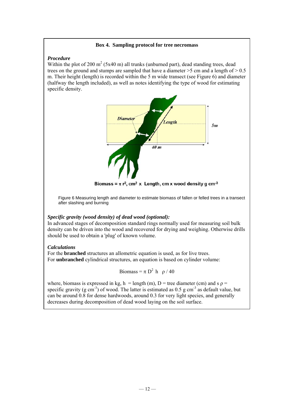#### **Box 4. Sampling protocol for tree necromass**

#### *Procedure*

Within the plot of 200  $m^2$  (5x40 m) all trunks (unburned part), dead standing trees, dead trees on the ground and stumps are sampled that have a diameter  $>$  5 cm and a length of  $>$  0.5 m. Their height (length) is recorded within the 5 m wide transect (see Figure 6) and diameter (halfway the length included), as well as notes identifying the type of wood for estimating specific density.



Biomass =  $\pi$  r<sup>2</sup>, cm<sup>2</sup> x Length, cm x wood density g cm<sup>-3</sup>

Figure 6 Measuring length and diameter to estimate biomass of fallen or felled trees in a transect after slashing and burning

#### *Specific gravity (wood density) of dead wood (optional):*

In advanced stages of decomposition standard rings normally used for measuring soil bulk density can be driven into the wood and recovered for drying and weighing. Otherwise drills should be used to obtain a 'plug' of known volume.

#### *Calculations*

For the **branched** structures an allometric equation is used, as for live trees. For **unbranched** cylindrical structures, an equation is based on cylinder volume:

$$
Biomass = \pi D^2 h \quad \rho / 40
$$

where, biomass is expressed in kg, h = length (m), D = tree diameter (cm) and s  $\rho$  = specific gravity (g cm<sup>-3</sup>) of wood. The latter is estimated as  $0.5$  g cm<sup>-3</sup> as default value, but can be around 0.8 for dense hardwoods, around 0.3 for very light species, and generally decreases during decomposition of dead wood laying on the soil surface.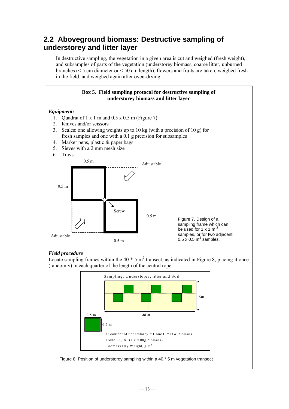# **2.2 Aboveground biomass: Destructive sampling of understorey and litter layer**

In destructive sampling, the vegetation in a given area is cut and weighed (fresh weight), and subsamples of parts of the vegetation (understorey biomass, coarse litter, unburned branches (< 5 cm diameter or < 50 cm length), flowers and fruits are taken, weighed fresh in the field, and weighed again after oven-drying.



## *Field procedure*

Locate sampling frames within the 40  $*$  5 m<sup>2</sup> transect, as indicated in Figure 8, placing it once (randomly) in each quarter of the length of the central rope.

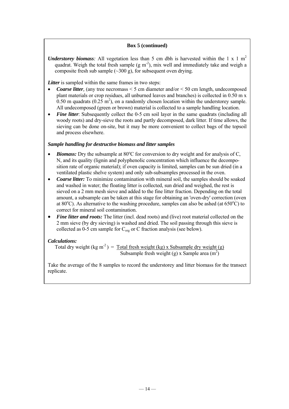#### **Box 5 (continued)**

*Understorey biomass:* All vegetation less than 5 cm dbh is harvested within the 1 x 1 m<sup>2</sup> quadrat. Weigh the total fresh sample  $(g m<sup>2</sup>)$ , mix well and immediately take and weigh a composite fresh sub sample  $(\sim]300 \text{ g}$ , for subsequent oven drying.

*Litter* is sampled within the same frames in two steps:

- *Coarse litter*, (any tree necromass  $\leq 5$  cm diameter and/or  $\leq 50$  cm length, undecomposed plant materials or crop residues, all unburned leaves and branches) is collected in 0.50 m x  $0.50$  m quadrats ( $0.25$  m<sup>2</sup>), on a randomly chosen location within the understorey sample. All undecomposed (green or brown) material is collected to a sample handling location.
- **Fine litter**: Subsequently collect the 0-5 cm soil layer in the same quadrats (including all woody roots) and dry-sieve the roots and partly decomposed, dark litter. If time allows, the sieving can be done on-site, but it may be more convenient to collect bags of the topsoil and process elsewhere.

#### *Sample handling for destructive biomass and litter samples*

- *Biomass:* Dry the subsample at 80°C for conversion to dry weight and for analysis of C, N, and its quality (lignin and polyphenolic concentration which influence the decomposition rate of organic material); if oven capacity is limited, samples can be sun dried (in a ventilated plastic shelve system) and only sub-subsamples processed in the oven.
- *Coarse litter:* To minimize contamination with mineral soil, the samples should be soaked and washed in water; the floating litter is collected, sun dried and weighed, the rest is sieved on a 2 mm mesh sieve and added to the fine litter fraction. Depending on the total amount, a subsample can be taken at this stage for obtaining an 'oven-dry' correction (oven at 80 $^{\circ}$ C). As alternative to the washing procedure, samples can also be ashed (at 650 $^{\circ}$ C) to correct for mineral soil contamination.
- *Fine litter and roots:* The litter (incl. dead roots) and (live) root material collected on the 2 mm sieve (by dry sieving) is washed and dried. The soil passing through this sieve is collected as 0-5 cm sample for  $C_{org}$  or C fraction analysis (see below).

### *Calculations:*

Total dry weight (kg m<sup>-2</sup>) = Total fresh weight (kg) x Subsample dry weight (g) Subsample fresh weight (g) x Sample area  $(m<sup>2</sup>)$ 

Take the average of the 8 samples to record the understorey and litter biomass for the transect replicate.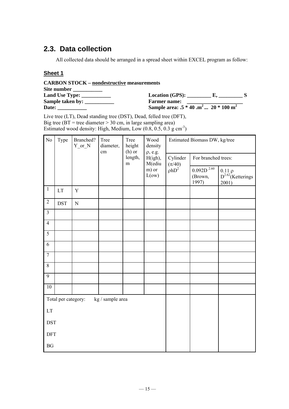# **2.3. Data collection**

All collected data should be arranged in a spread sheet within EXCEL program as follow:

## **Sheet 1**

| <b>CARBON STOCK – nondestructive measurements</b>                                                                                                                                                                                                                                                                                                                                                                                           |                                                |  |
|---------------------------------------------------------------------------------------------------------------------------------------------------------------------------------------------------------------------------------------------------------------------------------------------------------------------------------------------------------------------------------------------------------------------------------------------|------------------------------------------------|--|
| Site number                                                                                                                                                                                                                                                                                                                                                                                                                                 |                                                |  |
| Land Use Type: $\frac{1}{\frac{1}{2} \cdot \frac{1}{2} \cdot \frac{1}{2} \cdot \frac{1}{2} \cdot \frac{1}{2} \cdot \frac{1}{2} \cdot \frac{1}{2} \cdot \frac{1}{2} \cdot \frac{1}{2} \cdot \frac{1}{2} \cdot \frac{1}{2} \cdot \frac{1}{2} \cdot \frac{1}{2} \cdot \frac{1}{2} \cdot \frac{1}{2} \cdot \frac{1}{2} \cdot \frac{1}{2} \cdot \frac{1}{2} \cdot \frac{1}{2} \cdot \frac{1}{2} \cdot \frac{1}{2} \cdot \frac{1}{2} \cdot \frac$ | $Location(GPS):$ E,                            |  |
| Sample taken by:                                                                                                                                                                                                                                                                                                                                                                                                                            | <b>Farmer name:</b>                            |  |
| Date:                                                                                                                                                                                                                                                                                                                                                                                                                                       | Sample area: $.5 * 40 \cdot m^2  20 * 100 m^2$ |  |

Live tree (LT), Dead standing tree (DST), Dead, felled tree (DFT), Big tree ( $BT =$  tree diameter  $> 30$  cm, in large sampling area) Estimated wood density: High, Medium, Low  $(0.8, 0.5, 0.3 \text{ g cm}^3)$ 

| N <sub>o</sub>         | Type                       | Branched?<br>$Y_{or}N$ | Tree<br>Tree<br>Wood<br>height<br>diameter,<br>$(h)$ or<br>cm<br>$\rho$ , e.g.<br>length,<br>m |                   | density                | Estimated Biomass DW, kg/tree |                                                 |                                                       |  |
|------------------------|----------------------------|------------------------|------------------------------------------------------------------------------------------------|-------------------|------------------------|-------------------------------|-------------------------------------------------|-------------------------------------------------------|--|
|                        |                            |                        |                                                                                                | H(igh),<br>M(ediu | Cylinder<br>$(\pi/40)$ | For branched trees:           |                                                 |                                                       |  |
|                        |                            |                        |                                                                                                |                   | m) or<br>L(ow)         | $\rho hD^2$                   | $0.092\mathrm{D}$ $^{2.60}$<br>(Brown,<br>1997) | $0.11 \rho$<br>D <sup>2.62</sup> (Ketterings<br>2001) |  |
| $\overline{1}$         | $\mathop{\rm LT}\nolimits$ | $\mathbf Y$            |                                                                                                |                   |                        |                               |                                                 |                                                       |  |
| $\overline{2}$         | <b>DST</b>                 | ${\bf N}$              |                                                                                                |                   |                        |                               |                                                 |                                                       |  |
| $\overline{3}$         |                            |                        |                                                                                                |                   |                        |                               |                                                 |                                                       |  |
| $\overline{4}$         |                            |                        |                                                                                                |                   |                        |                               |                                                 |                                                       |  |
| $\overline{5}$         |                            |                        |                                                                                                |                   |                        |                               |                                                 |                                                       |  |
| 6                      |                            |                        |                                                                                                |                   |                        |                               |                                                 |                                                       |  |
| $\overline{7}$         |                            |                        |                                                                                                |                   |                        |                               |                                                 |                                                       |  |
| $\,8\,$                |                            |                        |                                                                                                |                   |                        |                               |                                                 |                                                       |  |
| 9                      |                            |                        |                                                                                                |                   |                        |                               |                                                 |                                                       |  |
| 10                     |                            |                        |                                                                                                |                   |                        |                               |                                                 |                                                       |  |
|                        | Total per category:        |                        | kg / sample area                                                                               |                   |                        |                               |                                                 |                                                       |  |
| LT                     |                            |                        |                                                                                                |                   |                        |                               |                                                 |                                                       |  |
| <b>DST</b>             |                            |                        |                                                                                                |                   |                        |                               |                                                 |                                                       |  |
| <b>DFT</b>             |                            |                        |                                                                                                |                   |                        |                               |                                                 |                                                       |  |
| $\mathbf{B}\mathbf{G}$ |                            |                        |                                                                                                |                   |                        |                               |                                                 |                                                       |  |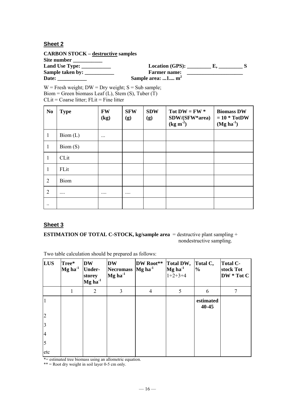## **Sheet 2**

**CARBON STOCK – destructive samples Site number \_\_\_\_\_\_\_\_\_\_\_ Land Use Type: \_\_\_\_\_\_\_\_\_\_\_ Location (GPS): \_\_\_\_\_\_\_\_\_ E, \_\_\_\_\_\_\_\_\_ S Sample taken by: \_\_\_\_\_\_\_\_\_\_\_ Farmer name: \_\_\_\_\_\_\_\_\_\_\_\_\_\_\_\_\_\_\_\_\_ Date:** Sample area: ...1.... m<sup>2</sup>

 $W =$  Fresh weight;  $DW =$  Dry weight;  $S =$  Sub sample; Biom = Green biomass Leaf (L), Stem (S), Tuber  $(T)$  $CLit = Coarse$  litter;  $FLit = Fine$  litter

| N <sub>0</sub> | <b>Type</b>                            | <b>FW</b><br>(kg) | <b>SFW</b><br>(g) | <b>SDW</b><br>(g) | Tot $DW = FW *$<br>SDW/(SFW*area)<br>$(kg m-2)$ | <b>Biomass DW</b><br>$= 10 * TotDW$<br>$(Mg ha-1)$ |
|----------------|----------------------------------------|-------------------|-------------------|-------------------|-------------------------------------------------|----------------------------------------------------|
| $\mathbf{1}$   | $\mathrm{Biom}\left(\mathrm{L}\right)$ | $\cdots$          |                   |                   |                                                 |                                                    |
| $\mathbf{1}$   | $\mathrm{Biom}\left(\mathrm{S}\right)$ |                   |                   |                   |                                                 |                                                    |
| $\mathbf{1}$   | CLit                                   |                   |                   |                   |                                                 |                                                    |
| $\mathbf{1}$   | FLit                                   |                   |                   |                   |                                                 |                                                    |
| 2              | <b>Biom</b>                            |                   |                   |                   |                                                 |                                                    |
| $\overline{2}$ |                                        |                   |                   |                   |                                                 |                                                    |
| $\cdot \cdot$  |                                        |                   |                   |                   |                                                 |                                                    |

## **Sheet 3**

**ESTIMATION OF TOTAL C-STOCK, kg/sample area** = destructive plant sampling + nondestructive sampling.

Two table calculation should be prepared as follows:

| <b>LUS</b>     | Tree*<br>$Mg$ ha <sup>-1</sup> | <b>DW</b><br><b>Under-</b><br>storey<br>$Mg$ ha <sup>-1</sup> | <b>DW</b><br>Necromass $Mg$ ha <sup>-1</sup><br>$Mg$ ha <sup>-1</sup> | DW Root**      | <b>Total DW,</b><br>$Mg$ ha <sup>-1</sup><br>$1+2+3+4$ | Total C,<br>$\%$   | <b>Total C-</b><br>stock Tot<br>DW * Tot C |
|----------------|--------------------------------|---------------------------------------------------------------|-----------------------------------------------------------------------|----------------|--------------------------------------------------------|--------------------|--------------------------------------------|
|                |                                | 2                                                             | 3                                                                     | $\overline{4}$ | 5                                                      | 6                  |                                            |
|                |                                |                                                               |                                                                       |                |                                                        | estimated<br>40-45 |                                            |
| $\overline{2}$ |                                |                                                               |                                                                       |                |                                                        |                    |                                            |
| $\overline{3}$ |                                |                                                               |                                                                       |                |                                                        |                    |                                            |
| 4              |                                |                                                               |                                                                       |                |                                                        |                    |                                            |
| $\overline{5}$ |                                |                                                               |                                                                       |                |                                                        |                    |                                            |
| etc            |                                |                                                               |                                                                       |                |                                                        |                    |                                            |

 $\overline{\phantom{a}}$   $\overline{\phantom{a}}$  = estimated tree biomass using an allometric equation.

 $** =$  Root dry weight in soil layer 0-5 cm only.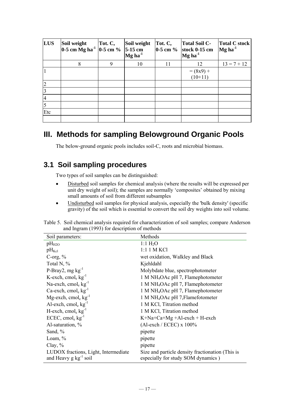| <b>LUS</b>              | Soil weight<br>$0-5$ cm Mg ha <sup>-1</sup> | Tot. C,<br>$0-5$ cm $%$ | Soil weight<br>$5-15$ cm<br>Mg ha <sup>-1</sup> | Tot. C,<br>$0-5$ cm $%$ | <b>Total Soil C-</b><br>stock 0-15 cm<br>$Mg$ ha <sup>-1</sup> | <b>Total C stock</b><br>$Mg$ ha <sup>-1</sup> |
|-------------------------|---------------------------------------------|-------------------------|-------------------------------------------------|-------------------------|----------------------------------------------------------------|-----------------------------------------------|
|                         | 8                                           | 9                       | 10                                              | 11                      | 12                                                             | $13 = 7 + 12$                                 |
|                         |                                             |                         |                                                 |                         | $= (8x9) +$<br>$(10+11)$                                       |                                               |
| $\overline{2}$          |                                             |                         |                                                 |                         |                                                                |                                               |
| $\overline{3}$          |                                             |                         |                                                 |                         |                                                                |                                               |
| 4                       |                                             |                         |                                                 |                         |                                                                |                                               |
| $\overline{\mathbf{5}}$ |                                             |                         |                                                 |                         |                                                                |                                               |
| Etc                     |                                             |                         |                                                 |                         |                                                                |                                               |
|                         |                                             |                         |                                                 |                         |                                                                |                                               |

# **III. Methods for sampling Belowground Organic Pools**

The below-ground organic pools includes soil-C, roots and microbial biomass.

# **3.1 Soil sampling procedures**

Two types of soil samples can be distinguished:

- Disturbed soil samples for chemical analysis (where the results will be expressed per unit dry weight of soil); the samples are normally 'composites' obtained by mixing small amounts of soil from different subsamples
- Undisturbed soil samples for physical analysis, especially the 'bulk density' (specific gravity) of the soil which is essential to convert the soil dry weights into soil volume.

| Table 5. Soil chemical analysis required for characterization of soil samples; compare Anderson |  |
|-------------------------------------------------------------------------------------------------|--|
| and Ingram (1993) for description of methods                                                    |  |

| Soil parameters:                                                      | Methods                                                                                |
|-----------------------------------------------------------------------|----------------------------------------------------------------------------------------|
| $pH_{H2O}$                                                            | $1:1 \text{ H}_2\text{O}$                                                              |
| $pH_{\text{Kcl}}$                                                     | $1:1 \, 1 \, M$ KCl                                                                    |
| C-org, $%$                                                            | wet oxidation, Walkley and Black                                                       |
| Total N, %                                                            | Kjehldahl                                                                              |
| P-Bray2, mg $kg^{-1}$                                                 | Molybdate blue, spectrophotometer                                                      |
| K-exch, cmol <sub>e</sub> $kg^{-1}$                                   | 1 M NH <sub>4</sub> OAc pH 7, Flamephotometer                                          |
| Na-exch, cmol <sub>e</sub> $kg^{-1}$                                  | 1 M NH <sub>4</sub> OAc pH 7, Flamephotometer                                          |
| Ca-exch, cmol <sub>e</sub> $kg^{-1}$                                  | 1 M NH <sub>4</sub> OAc pH 7, Flamephotometer                                          |
| Mg-exch, cmol <sub>e</sub> $kg^{-1}$                                  | 1 M NH <sub>4</sub> OAc pH 7, Flamefotometer                                           |
| Al-exch, cmol <sub>e</sub> $kg^{-1}$                                  | 1 M KCl, Titration method                                                              |
| $H$ -exch, cmol <sub>e</sub> kg <sup>-1</sup>                         | 1 M KCl, Titration method                                                              |
| ECEC, cmol <sub>e</sub> $kg^{-1}$                                     | $K+Na+Ca+Mg + Al-exch + H-exch$                                                        |
| Al-saturation, %                                                      | $(Al-exch / ECEC)$ x $100\%$                                                           |
| Sand, $%$                                                             | pipette                                                                                |
| Loam, $\%$                                                            | pipette                                                                                |
| Clay, $%$                                                             | pipette                                                                                |
| LUDOX fractions, Light, Intermediate<br>and Heavy $g \, kg^{-1}$ soil | Size and particle density fractionation (This is<br>especially for study SOM dynamics) |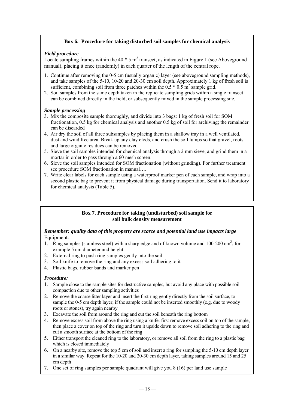## **Box 6. Procedure for taking disturbed soil samples for chemical analysis**

### *Field procedure*

Locate sampling frames within the 40  $*$  5 m<sup>2</sup> transect, as indicated in Figure 1 (see Aboveground manual), placing it once (randomly) in each quarter of the length of the central rope.

- 1. Continue after removing the 0-5 cm (usually organic) layer (see aboveground sampling methods), and take samples of the 5-10, 10-20 and 20-30 cm soil depth. Approximately 1 kg of fresh soil is sufficient, combining soil from three patches within the  $0.5 * 0.5$  m<sup>2</sup> sample grid.
- 2. Soil samples from the same depth taken in the replicate sampling grids within a single transect can be combined directly in the field, or subsequently mixed in the sample processing site.

#### *Sample processing*

- 3. Mix the composite sample thoroughly, and divide into 3 bags: 1 kg of fresh soil for SOM fractionation, 0.5 kg for chemical analysis and another 0.5 kg of soil for archiving; the remainder can be discarded
- 4. Air dry the soil of all three subsamples by placing them in a shallow tray in a well ventilated, dust and wind free area. Break up any clay clods, and crush the soil lumps so that gravel, roots and large organic residues can be removed
- 5. Sieve the soil samples intended for chemical analysis through a 2 mm sieve, and grind them in a mortar in order to pass through a 60 mesh screen.
- 6. Sieve the soil samples intended for SOM fractionation (without grinding). For further treatment see procedure SOM fractionation in manual….
- 7. Write clear labels for each sample using a waterproof marker pen of each sample, and wrap into a second plastic bag to prevent it from physical damage during transportation. Send it to laboratory for chemical analysis (Table 5).

#### **Box 7. Procedure for taking (undisturbed) soil sample for soil bulk density measurement**

### *Remember: quality data of this property are scarce and potential land use impacts large*  Equipment:

- 1. Ring samples (stainless steel) with a sharp edge and of known volume and 100-200 cm<sup>3</sup>, for example 5 cm diameter and height
- 2. External ring to push ring samples gently into the soil
- 3. Soil knife to remove the ring and any excess soil adhering to it
- 4. Plastic bags, rubber bands and marker pen

### *Procedure:*

- 1. Sample close to the sample sites for destructive samples, but avoid any place with possible soil compaction due to other sampling activities
- 2. Remove the coarse litter layer and insert the first ring gently directly from the soil surface, to sample the 0-5 cm depth layer; if the sample could not be inserted smoothly (e.g. due to woody roots or stones), try again nearby
- 3. Excavate the soil from around the ring and cut the soil beneath the ring bottom
- 4. Remove excess soil from above the ring using a knife: first remove excess soil on top of the sample, then place a cover on top of the ring and turn it upside down to remove soil adhering to the ring and cut a smooth surface at the bottom of the ring
- 5. Either transport the cleaned ring to the laboratory, or remove all soil from the ring to a plastic bag which is closed immediately
- 6. On a nearby site, remove the top 5 cm of soil and insert a ring for sampling the 5-10 cm depth layer in a similar way. Repeat for the 10-20 and 20-30 cm depth layer, taking samples around 15 and 25 cm depth
- 7. One set of ring samples per sample quadrant will give you 8 (16) per land use sample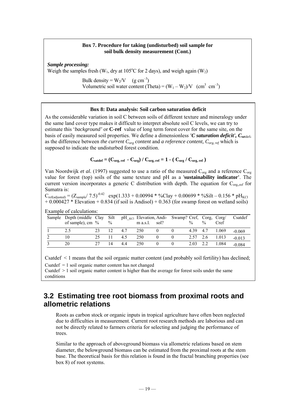#### **Box 7. Procedure for taking (undisturbed) soil sample for soil bulk density measurement (Cont.)**

*Sample processing:* 

Weigh the samples fresh (W<sub>1</sub>, dry at 105°C for 2 days), and weigh again (W<sub>2</sub>)

Bulk density =  $W_2/V$  (g cm<sup>-3</sup>) Volumetric soil water content (Theta) =  $(W_1 - W_2)/V$  (cm<sup>3</sup> cm<sup>-3</sup>)

#### **Box 8: Data analysis: Soil carbon saturation deficit**

As the considerable variation in soil C between soils of different texture and mineralogy under the same land cover type makes it difficult to interpret absolute soil C levels, we can try to estimate this '*background'* or **C-ref** value of long term forest cover for the same site, on the basis of easily measured soil properties. We define a dimensionless *'C saturation deficit', Csa*tdef, as the difference between *the current Corg content* and *a reference content, Corg, ref* which is supposed to indicate the undisturbed forest condition.

$$
C_{\text{satdef}} = (C_{\text{org, ref}} - C_{\text{org}}) / C_{\text{org, ref}} = 1 - (C_{\text{org}} / C_{\text{org, ref}})
$$

Van Noordwijk *et al.* (1997) suggested to use a ratio of the measured C<sub>org</sub> and a reference C<sub>org</sub> value for forest (top) soils of the same texture and pH as a '**sustainability indicator'**. The current version incorporates a generic C distribution with depth. The equation for C<sub>org,,ref</sub> for Sumatra is:

 $C_{ref(additional) } = (Z_{sample} / 7.5)^{-0.42}$  exp(1.333 + 0.00994 \* %Clay + 0.00699 \* %Silt – 0.156 \* pH<sub>KCl</sub>  $+ 0.000427 *$  Elevation  $+ 0.834$  (if soil is Andisol)  $+ 0.363$  (for swamp forest on wetland soils)

| Sample | Depth (middle Clay<br>of sample), cm $%$ |    | Silt<br>$\%$ |     | pH <sub>KCl</sub> Elevation, Andi- Swamp? Cref, Corg, Corg/<br>$m$ a.s.l. | sol? | $\frac{0}{0}$ | $\frac{0}{0}$ | Cref  | Csatdef  |
|--------|------------------------------------------|----|--------------|-----|---------------------------------------------------------------------------|------|---------------|---------------|-------|----------|
|        |                                          | 23 |              | 47  | 250                                                                       |      | 4.39          | 4.7           | 1.069 | $-0.069$ |
|        |                                          |    |              | 4.5 | 250                                                                       |      | 2.57          | 2.6           | 1.013 | $-0.013$ |
| ◠      | 20                                       |    | 14           | 44  | 250                                                                       |      | 2.03          |               | 1.084 | $-0.084$ |

Example of calculations:

Csatdef < 1 means that the soil organic matter content (and probably soil fertility) has declined; Csatdef  $= 1$  soil organic matter content has not changed

Csatdef > 1 soil organic matter content is higher than the average for forest soils under the same conditions

## **3.2 Estimating tree root biomass from proximal roots and allometric relations**

Roots as carbon stock or organic inputs in tropical agriculture have often been neglected due to difficulties in measurement. Current root research methods are laborious and can not be directly related to farmers criteria for selecting and judging the performance of trees.

Similar to the approach of aboveground biomass via allometric relations based on stem diameter, the belowground biomass can be estimated from the proximal roots at the stem base. The theoretical basis for this relation is found in the fractal branching properties (see box 8) of root systems.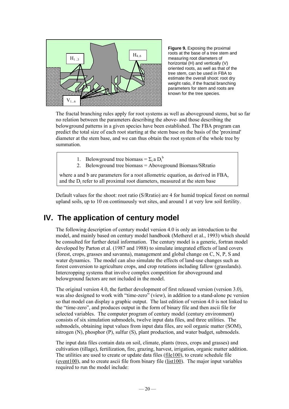

**Figure 9.** Exposing the proximal roots at the base of a tree stem and measuring root diameters of horizontal (H) and vertically (V) oriented roots, as well as that of the tree stem, can be used in FBA to estimate the overall shoot: root dry weight ratio, if the fractal branching parameters for stem and roots are known for the tree species.

The fractal branching rules apply for root systems as well as aboveground stems, but so far no relation between the parameters describing the above- and those describing the belowground patterns in a given species have been established. The FBA program can predict the total size of each root starting at the stem base on the basis of the 'proximal' diameter at the stem base, and we can thus obtain the root system of the whole tree by summation.

- 1. Belowground tree biomass =  $\Sigma_i$  a  $D_i^b$
- 2. Belowground tree biomass = Aboveground Biomass/SRratio

where a and b are parameters for a root allometric equation, as derived in FBA, and the Di refer to all proximal root diameters, measured at the stem base

Default values for the shoot: root ratio (S/Rratio) are 4 for humid tropical forest on normal upland soils, up to 10 on continuously wet sites, and around 1 at very low soil fertility.

# **IV. The application of century model**

The following description of century model version 4.0 is only an introduction to the model, and mainly based on century model handbook (Metherel et al., 1993) which should be consulted for further detail information. The century model is a generic, fortran model developed by Parton et al. (1987 and 1988) to simulate integrated effects of land covers (forest, crops, grasses and savanna), management and global change on C, N, P, S and water dynamics. The model can also simulate the effects of land-use changes such as forest conversion to agriculture crops, and crop rotations including fallow (grasslands). Intercropping systems that involve complex competition for aboveground and belowground factors are not included in the model.

The original version 4.0, the further development of first released version (version 3.0), was also designed to work with "time-zero" (view), in addition to a stand-alone pc version so that model can display a graphic output. The last edition of version 4.0 is not linked to the "time-zero", and produces output in the form of binary file and then ascii file for selected variables. The computer program of century model (century environment) consists of six simulation submodels, twelve input data files, and three utilities. The submodels, obtaining input values from input data files, are soil organic matter (SOM), nitrogen (N), phosphor (P), sulfur (S), plant production, and water budget, submodels.

The input data files contain data on soil, climate, plants (trees, crops and grasses) and cultivation (tillage), fertilization, fire, grazing, harvest, irrigation, organic matter addition. The utilities are used to create or update data files (file100), to create schedule file (event100), and to create ascii file from binary file (list100). The major input variables required to run the model include: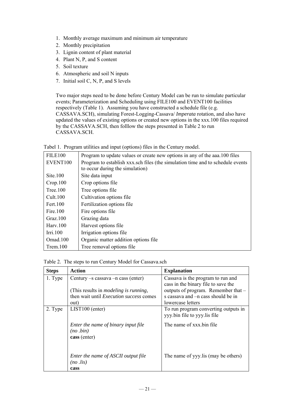- 1. Monthly average maximum and minimum air temperature
- 2. Monthly precipitation
- 3. Lignin content of plant material
- 4. Plant N, P, and S content
- 5. Soil texture
- 6. Atmospheric and soil N inputs
- 7. Initial soil C, N, P, and S levels

Two major steps need to be done before Century Model can be run to simulate particular events; Parameterization and Scheduling using FILE100 and EVENT100 facilities respectively (Table 1). Assuming you have constructed a schedule file (e.g. CASSAVA.SCH), simulating Forest-Logging-Cassava/ *Imperata* rotation, and also have updated the values of existing options or created new options in the xxx.100 files required by the CASSAVA.SCH, then folllow the steps presented in Table 2 to run CASSAVA.SCH.

|  |  |  | Tabel 1. Program utilities and input (options) files in the Century model. |  |
|--|--|--|----------------------------------------------------------------------------|--|
|  |  |  |                                                                            |  |

| <b>FILE100</b>    | Program to update values or create new options in any of the aa a.100 files    |
|-------------------|--------------------------------------------------------------------------------|
| EVENT100          | Program to establish xxx.sch files (the simulation time and to schedule events |
|                   | to occur during the simulation)                                                |
| $\text{Site}.100$ | Site data input                                                                |
| Crop.100          | Crop options file                                                              |
| Tree.100          | Tree options file                                                              |
| Cult.100          | Cultivation options file                                                       |
| Fert. 100         | Fertilization options file                                                     |
| Fire.100          | Fire options file                                                              |
| Graz. $100$       | Grazing data                                                                   |
| Harv.100          | Harvest options file                                                           |
| Irri.100          | Irrigation options file                                                        |
| Omad.100          | Organic matter addition options file.                                          |
| Trem.100          | Tree removal options file.                                                     |

Table 2. The steps to run Century Model for Cassava.sch

| <b>Steps</b> | Action                                                                                                                                    | <b>Explanation</b>                                                                                                                                    |
|--------------|-------------------------------------------------------------------------------------------------------------------------------------------|-------------------------------------------------------------------------------------------------------------------------------------------------------|
| 1. Type      | Century $-s$ cassava $-n$ cass (enter)<br>(This results in <i>modeling is running</i> ,<br>then wait until <i>Execution success</i> comes | Cassava is the program to run and<br>cass in the binary file to save the<br>outputs of program. Remember that -<br>s cassava and -n cass should be in |
|              | out)                                                                                                                                      | lowercase letters                                                                                                                                     |
| 2. Type      | LIST100 (enter)                                                                                                                           | To run program converting outputs in<br>yyy.bin file to yyy.lis file                                                                                  |
|              | Enter the name of binary input file<br>$(no\ .bin)$<br>cass (enter)                                                                       | The name of xxx bin file                                                                                                                              |
|              | Enter the name of ASCII output file<br>$(no$ .lis)<br>cass                                                                                | The name of yyy.lis (may be others)                                                                                                                   |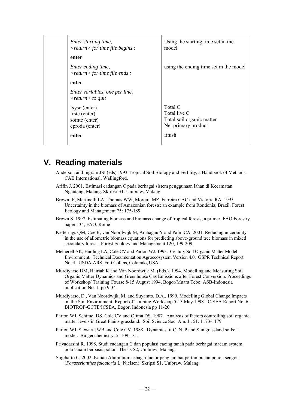| Enter starting time,<br>$\langle$ return $\rangle$ for time file begins : | Using the starting time set in the<br>model                                 |
|---------------------------------------------------------------------------|-----------------------------------------------------------------------------|
| enter                                                                     |                                                                             |
| Enter ending time,<br>$\langle$ return $\rangle$ for time file ends :     | using the ending time set in the model                                      |
| enter                                                                     |                                                                             |
| Enter variables, one per line,<br>$\langle$ return $\rangle$ to quit      |                                                                             |
| fsysc (enter)<br>frstc (enter)<br>somtc (enter)<br>cproda (enter)         | Total C<br>Total live C<br>Total soil organic matter<br>Net primary product |
| enter                                                                     | finish                                                                      |

# **V. Reading materials**

- Anderson and Ingram JSI (eds) 1993 Tropical Soil Biology and Fertility, a Handbook of Methods. CAB International, Wallingford.
- Arifin J. 2001. Estimasi cadangan C pada berbagai sistem penggunaan lahan di Kecamatan Ngantang, Malang. Skripsi-S1. Unibraw, Malang.
- Brown IF, Martinelli LA, Thomas WW, Moreira MZ, Ferreira CAC and Victoria RA. 1995. Uncertainty in the biomass of Amazonian forests: an example from Rondonia, Brazil. Forest Ecology and Management 75: 175-189
- Brown S. 1997. Estimating biomass and biomass change of tropical forests, a primer. FAO Forestry paper 134, FAO, Rome
- Ketterings QM, Coe R, van Noordwijk M, Ambagau Y and Palm CA. 2001. Reducing uncertainty in the use of allometric biomass equations for predicting above-ground tree biomass in mixed secondary forests. Forest Ecology and Management 120, 199-209.
- Metherell AK, Harding LA, Cole CV and Parton WJ. 1993. Century Soil Organic Matter Model Environment. Technical Documentation Agroecosystem Version 4.0. GSPR Technical Report No. 4. USDA-ARS, Fort Collins, Colorado, USA.
- Murdiyarso DM, Hairiah K and Van Noordwijk M. (Eds.). 1994. Modelling and Measuring Soil Organic Matter Dynamics and Greenhouse Gas Emissions after Forest Conversion. Proceedings of Workshop/ Training Course 8-15 August 1994, Bogor/Muara Tebo. ASB-Indonesia publication No. 1. pp 9-34
- Murdiyarso, D., Van Noordwijk, M. and Suyamto, D.A., 1999. Modelling Global Change Impacts on the Soil Environment: Report of Training Workshop 5-13 May 1998. IC-SEA Report No. 6, BIOTROP-GCTE/ICSEA, Bogor, Indonesia pp 11-20
- Parton WJ, Schimel DS, Cole CV and Ojima DS. 1987. Analysis of factors controlling soil organic matter levels in Great Plains grassland. Soil Science Soc. Am. J., 51: 1173-1179.
- Parton WJ, Stewart JWB and Cole CV. 1988. Dynamics of C, N, P and S in grassland soils: a model. Biogeochemistry, 5: 109-131.
- Priyadarsini R. 1998. Studi cadangan C dan populasi cacing tanah pada berbagai macam system pola tanam berbasis pohon. Thesis S2, Unibraw, Malang.
- Sugiharto C. 2002. Kajian Aluminium sebagai factor penghambat pertumbuhan pohon sengon (*Paraserianthes falcataria* L. Nielsen). Skripsi S1, Unibraw, Malang.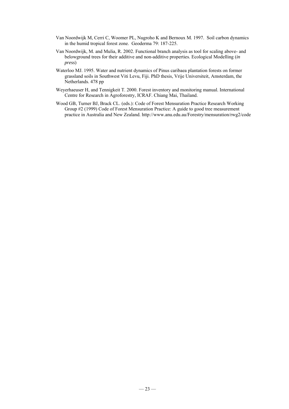- Van Noordwijk M, Cerri C, Woomer PL, Nugroho K and Bernoux M. 1997. Soil carbon dynamics in the humid tropical forest zone. Geoderma 79: 187-225.
- Van Noordwijk, M. and Mulia, R. 2002. Functional branch analysis as tool for scaling above- and belowground trees for their additive and non-additive properties. Ecological Modelling (*in press*)
- Waterloo MJ. 1995. Water and nutrient dynamics of Pinus caribaea plantation forests on former grassland soils in Southwest Viti Levu, Fiji. PhD thesis, Vrije Universiteit, Amsterdam, the Netherlands. 478 pp
- Weyerhaeuser H, and Tennigkeit T. 2000. Forest inventory and monitoring manual. International Centre for Research in Agroforestry, ICRAF. Chiang Mai, Thailand.
- Wood GB, Turner BJ, Brack CL. (eds.): Code of Forest Mensuration Practice Research Working Group #2 (1999) Code of Forest Mensuration Practice: A guide to good tree measurement practice in Australia and New Zealand. http://www.anu.edu.au/Forestry/mensuration/rwg2/code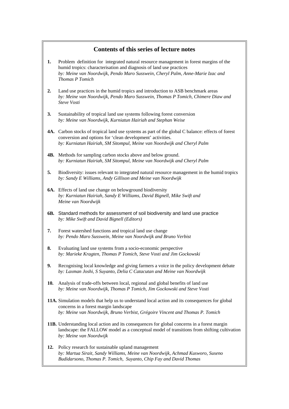## **Contents of this series of lecture notes**

- **1.** Problem definition for integrated natural resource management in forest margins of the humid tropics: characterisation and diagnosis of land use practices *by: Meine van Noordwijk, Pendo Maro Susswein, Cheryl Palm, Anne-Marie Izac and Thomas P Tomich*
- **2.** Land use practices in the humid tropics and introduction to ASB benchmark areas *by: Meine van Noordwijk, Pendo Maro Susswein, Thomas P Tomich, Chimere Diaw and Steve Vosti*
- **3.** Sustainability of tropical land use systems following forest conversion *by: Meine van Noordwijk, Kurniatun Hairiah and Stephan Weise*
- **4A.** Carbon stocks of tropical land use systems as part of the global C balance: effects of forest conversion and options for 'clean development' activities. *by: Kurniatun Hairiah, SM Sitompul, Meine van Noordwijk and Cheryl Palm*
- **4B.** Methods for sampling carbon stocks above and below ground. *by: Kurniatun Hairiah, SM Sitompul, Meine van Noordwijk and Cheryl Palm*
- **5.** Biodiversity: issues relevant to integrated natural resource management in the humid tropics *by: Sandy E Williams, Andy Gillison and Meine van Noordwijk*
- **6A.** Effects of land use change on belowground biodiversity *by: Kurniatun Hairiah, Sandy E Williams, David Bignell, Mike Swift and Meine van Noordwijk*
- **6B.** Standard methods for assessment of soil biodiversity and land use practice *by: Mike Swift and David Bignell (Editors)*
- **7.** Forest watershed functions and tropical land use change *by: Pendo Maro Susswein, Meine van Noordwijk and Bruno Verbist*
- **8.** Evaluating land use systems from a socio-economic perspective *by: Marieke Kragten, Thomas P Tomich, Steve Vosti and Jim Gockowski*
- **9.** Recognising local knowledge and giving farmers a voice in the policy development debate *by: Laxman Joshi, S Suyanto, Delia C Catacutan and Meine van Noordwijk*
- **10.** Analysis of trade-offs between local, regional and global benefits of land use *by: Meine van Noordwijk, Thomas P Tomich, Jim Gockowski and Steve Vosti*
- **11A.** Simulation models that help us to understand local action and its consequences for global concerns in a forest margin landscape *by: Meine van Noordwijk, Bruno Verbist, Grégoire Vincent and Thomas P. Tomich*
- **11B.** Understanding local action and its consequences for global concerns in a forest margin landscape: the FALLOW model as a conceptual model of transitions from shifting cultivation *by: Meine van Noordwijk*
- **12.** Policy research for sustainable upland management *by: Martua Sirait, Sandy Williams, Meine van Noordwijk, Achmad Kusworo, Suseno Budidarsono, Thomas P. Tomich, Suyanto, Chip Fay and David Thomas*